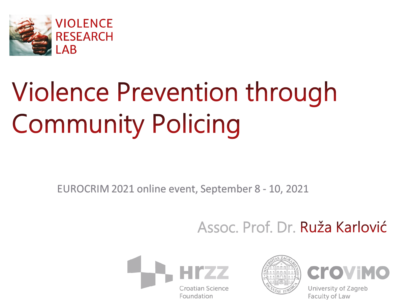

# **Violence Prevention through Community Policing**

EUROCRIM 2021 online event, September 8 - 10, 2021

## Assoc. Prof. Dr. Ruža Karlović







University of Zagreb Faculty of Law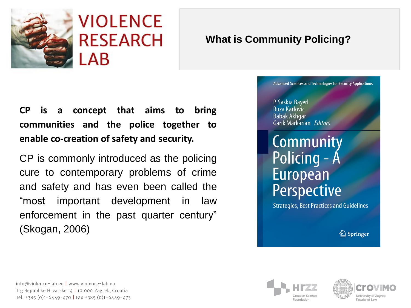

**CP is a concept that aims to bring communities and the police together to enable co-creation of safety and security.**

CP is commonly introduced as the policing cure to contemporary problems of crime and safety and has even been called the "most important development in law enforcement in the past quarter century" (Skogan, 2006)

#### **What is Community Policing?**

#### **Advanced Sciences and Technologies for Security Applications**

#### P. Saskia Bayerl Ruza Karlovic **Babak Akhgar** Garik Markarian Editors

## Community Policing - A European Perspective

**Strategies, Best Practices and Guidelines** 

2 Springer

info@violence-lab.eu | www.violence-lab.eu Trg Republike Hrvatske 14 | 10 000 Zagreb, Croatia Tel. +385 (0)1-6449-470 | Fax +385 (0)1-6449-473



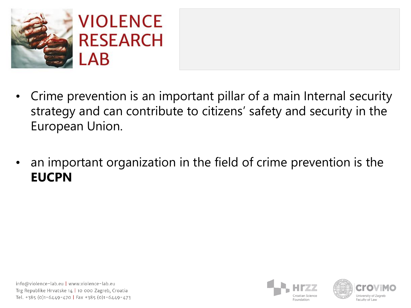

- Crime prevention is an important pillar of a main Internal security strategy and can contribute to citizens' safety and security in the European Union.
- an important organization in the field of crime prevention is the **EUCPN**



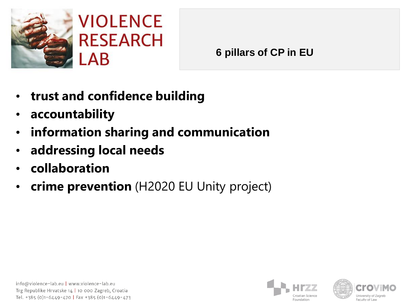

**6 pillars of CP in EU** 

- **trust and confidence building**
- **accountability**
- **information sharing and communication**
- **addressing local needs**
- **collaboration**
- **crime prevention** (H2020 EU Unity project)



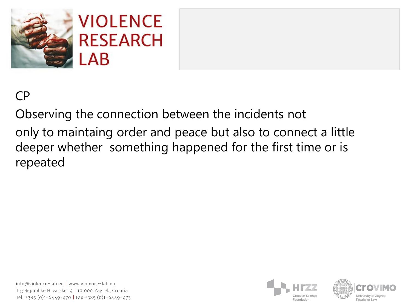

## CP

Observing the connection between the incidents not only to maintaing order and peace but also to connect a little deeper whether something happened for the first time or is repeated



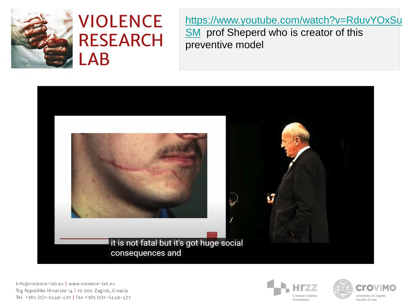

## **VIOLENCE RESEARCH**  $LAB$

[https://www.youtube.com/watch?v=RduvYOxSu](https://www.youtube.com/watch?v=RduvYOxSuSM) **SM** prof Sheperd who is creator of this preventive model



info@violence-lab.eu | www.violence-lab.eu Trg Republike Hrvatske 14 | 10 000 Zagreb, Croatia Tel. +385 (0)1-6449-470 | Fax +385 (0)1-6449-473



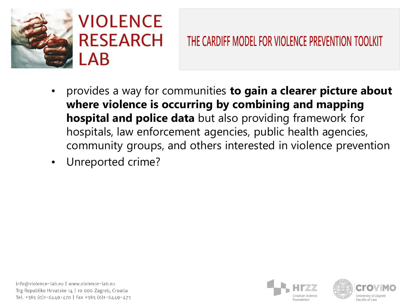

- provides a way for communities **to gain a clearer picture about where violence is occurring by combining and mapping hospital and police data** but also providing framework for hospitals, law enforcement agencies, public health agencies, community groups, and others interested in violence prevention
- Unreported crime?



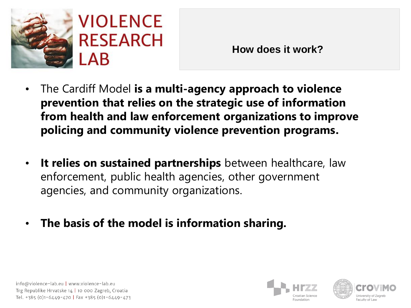

**How does it work?**

- The Cardiff Model **is a multi-agency approach to violence prevention that relies on the strategic use of information from health and law enforcement organizations to improve policing and community violence prevention programs.**
- **It relies on sustained partnerships** between healthcare, law enforcement, public health agencies, other government agencies, and community organizations.
- **The basis of the model is information sharing.**





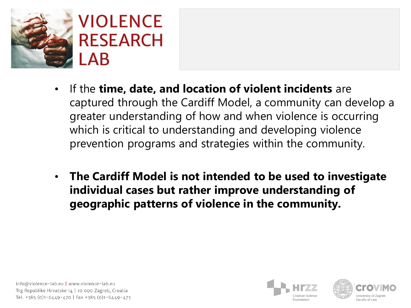

- If the **time, date, and location of violent incidents** are captured through the Cardiff Model, a community can develop a greater understanding of how and when violence is occurring which is critical to understanding and developing violence prevention programs and strategies within the community.
- **The Cardiff Model is not intended to be used to investigate individual cases but rather improve understanding of geographic patterns of violence in the community.**





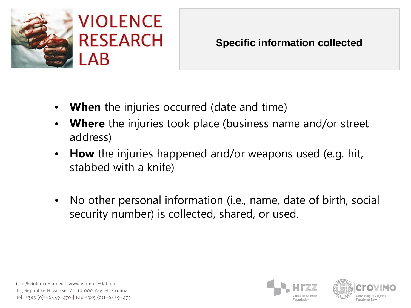

- **When** the injuries occurred (date and time)
- **Where** the injuries took place (business name and/or street address)
- **How** the injuries happened and/or weapons used (e.g. hit, stabbed with a knife)
- No other personal information (i.e., name, date of birth, social security number) is collected, shared, or used.





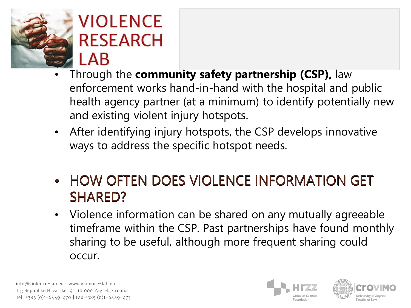

## **VIOLENCE RESEARCH** LAB

- Through the **community safety partnership (CSP),** law enforcement works hand-in-hand with the hospital and public health agency partner (at a minimum) to identify potentially new and existing violent injury hotspots.
- After identifying injury hotspots, the CSP develops innovative ways to address the specific hotspot needs.
- HOW OFTEN DOES VIOLENCE INFORMATION GET SHARED?
- Violence information can be shared on any mutually agreeable timeframe within the CSP. Past partnerships have found monthly sharing to be useful, although more frequent sharing could occur.



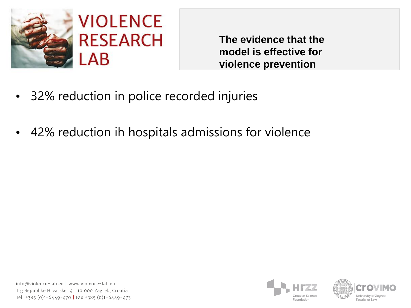

**The evidence that the model is effective for violence prevention**

- 32% reduction in police recorded injuries
- 42% reduction ih hospitals admissions for violence



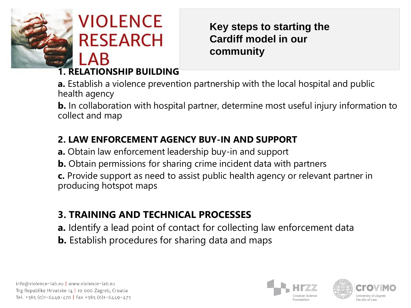

**VIOLENCE RESEARCH** | AR

**Key steps to starting the Cardiff model in our community**

#### **1. RELATIONSHIP BUILDING**

**a.** Establish a violence prevention partnership with the local hospital and public health agency

**b.** In collaboration with hospital partner, determine most useful injury information to collect and map

#### **2. LAW ENFORCEMENT AGENCY BUY-IN AND SUPPORT**

**a.** Obtain law enforcement leadership buy-in and support

**b.** Obtain permissions for sharing crime incident data with partners

**c.** Provide support as need to assist public health agency or relevant partner in producing hotspot maps

#### **3. TRAINING AND TECHNICAL PROCESSES**

- **a.** Identify a lead point of contact for collecting law enforcement data
- **b.** Establish procedures for sharing data and maps





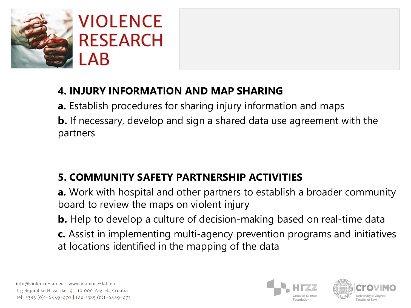

### **4. INJURY INFORMATION AND MAP SHARING**

**a.** Establish procedures for sharing injury information and maps **b.** If necessary, develop and sign a shared data use agreement with the partners

### **5. COMMUNITY SAFETY PARTNERSHIP ACTIVITIES**

**a.** Work with hospital and other partners to establish a broader community board to review the maps on violent injury

**b.** Help to develop a culture of decision-making based on real-time data **c.** Assist in implementing multi-agency prevention programs and initiatives at locations identified in the mapping of the data





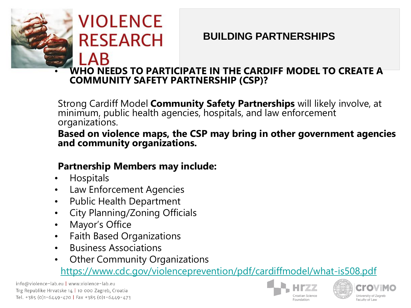## **VIOLENCE RESEARCH** | AB

#### **BUILDING PARTNERSHIPS**

#### • **WHO NEEDS TO PARTICIPATE IN THE CARDIFF MODEL TO CREATE A COMMUNITY SAFETY PARTNERSHIP (CSP)?**

Strong Cardiff Model **Community Safety Partnerships** will likely involve, at minimum, public health agencies, hospitals, and law enforcement organizations.

**Based on violence maps, the CSP may bring in other government agencies and community organizations.**

#### **Partnership Members may include:**

- Hospitals
- Law Enforcement Agencies
- Public Health Department
- City Planning/Zoning Officials
- Mayor's Office
- Faith Based Organizations
- Business Associations
- **Other Community Organizations**

#### <https://www.cdc.gov/violenceprevention/pdf/cardiffmodel/what-is508.pdf>

info@violence-lab.eu | www.violence-lab.eu Trg Republike Hrvatske 14 | 10 000 Zagreb, Croatia Tel. +385 (0)1-6449-470 | Fax +385 (0)1-6449-473